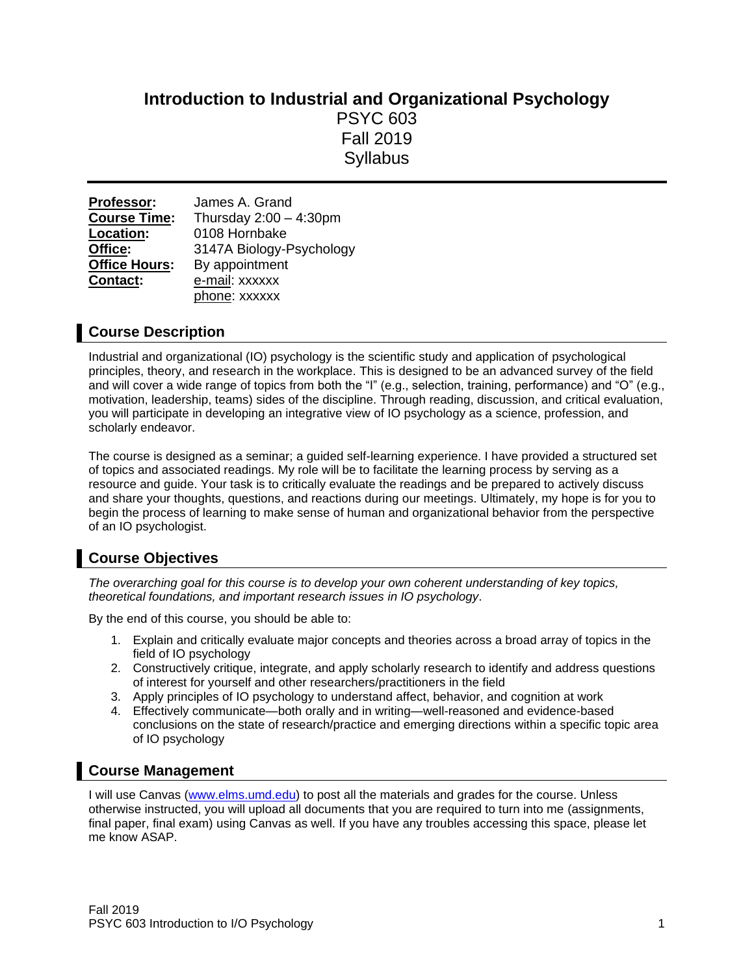# **Introduction to Industrial and Organizational Psychology** PSYC 603 Fall 2019 **Syllabus**

| Professor:           | James A. Grand            |
|----------------------|---------------------------|
| <b>Course Time:</b>  | Thursday $2:00 - 4:30$ pm |
| Location:            | 0108 Hornbake             |
| Office:              | 3147A Biology-Psychology  |
| <b>Office Hours:</b> | By appointment            |
| Contact:             | e-mail: xxxxxx            |
|                      | phone: xxxxxx             |

## **Course Description**

Industrial and organizational (IO) psychology is the scientific study and application of psychological principles, theory, and research in the workplace. This is designed to be an advanced survey of the field and will cover a wide range of topics from both the "I" (e.g., selection, training, performance) and "O" (e.g., motivation, leadership, teams) sides of the discipline. Through reading, discussion, and critical evaluation, you will participate in developing an integrative view of IO psychology as a science, profession, and scholarly endeavor.

The course is designed as a seminar; a guided self-learning experience. I have provided a structured set of topics and associated readings. My role will be to facilitate the learning process by serving as a resource and guide. Your task is to critically evaluate the readings and be prepared to actively discuss and share your thoughts, questions, and reactions during our meetings. Ultimately, my hope is for you to begin the process of learning to make sense of human and organizational behavior from the perspective of an IO psychologist.

## **Course Objectives**

*The overarching goal for this course is to develop your own coherent understanding of key topics, theoretical foundations, and important research issues in IO psychology*.

By the end of this course, you should be able to:

- 1. Explain and critically evaluate major concepts and theories across a broad array of topics in the field of IO psychology
- 2. Constructively critique, integrate, and apply scholarly research to identify and address questions of interest for yourself and other researchers/practitioners in the field
- 3. Apply principles of IO psychology to understand affect, behavior, and cognition at work
- 4. Effectively communicate—both orally and in writing—well-reasoned and evidence-based conclusions on the state of research/practice and emerging directions within a specific topic area of IO psychology

## **Course Management**

I will use Canvas [\(www.elms.umd.edu\)](http://www.elms.umd.edu/) to post all the materials and grades for the course. Unless otherwise instructed, you will upload all documents that you are required to turn into me (assignments, final paper, final exam) using Canvas as well. If you have any troubles accessing this space, please let me know ASAP.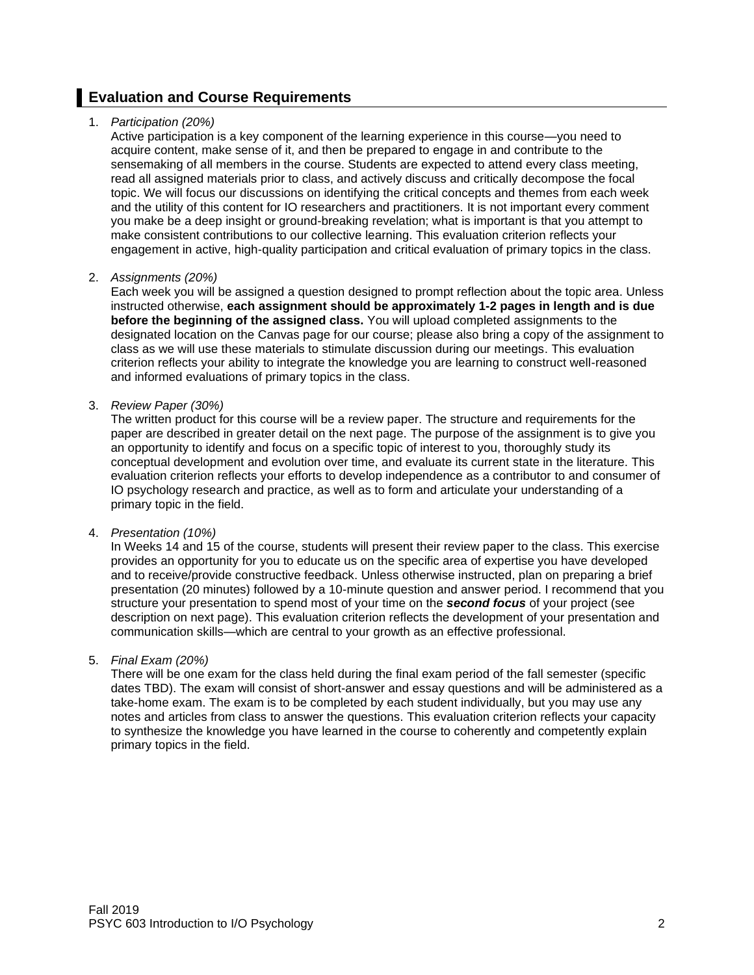## **Evaluation and Course Requirements**

### 1. *Participation (20%)*

Active participation is a key component of the learning experience in this course—you need to acquire content, make sense of it, and then be prepared to engage in and contribute to the sensemaking of all members in the course. Students are expected to attend every class meeting, read all assigned materials prior to class, and actively discuss and critically decompose the focal topic. We will focus our discussions on identifying the critical concepts and themes from each week and the utility of this content for IO researchers and practitioners. It is not important every comment you make be a deep insight or ground-breaking revelation; what is important is that you attempt to make consistent contributions to our collective learning. This evaluation criterion reflects your engagement in active, high-quality participation and critical evaluation of primary topics in the class.

#### 2. *Assignments (20%)*

Each week you will be assigned a question designed to prompt reflection about the topic area. Unless instructed otherwise, **each assignment should be approximately 1-2 pages in length and is due before the beginning of the assigned class.** You will upload completed assignments to the designated location on the Canvas page for our course; please also bring a copy of the assignment to class as we will use these materials to stimulate discussion during our meetings. This evaluation criterion reflects your ability to integrate the knowledge you are learning to construct well-reasoned and informed evaluations of primary topics in the class.

#### 3. *Review Paper (30%)*

The written product for this course will be a review paper. The structure and requirements for the paper are described in greater detail on the next page. The purpose of the assignment is to give you an opportunity to identify and focus on a specific topic of interest to you, thoroughly study its conceptual development and evolution over time, and evaluate its current state in the literature. This evaluation criterion reflects your efforts to develop independence as a contributor to and consumer of IO psychology research and practice, as well as to form and articulate your understanding of a primary topic in the field.

### 4. *Presentation (10%)*

In Weeks 14 and 15 of the course, students will present their review paper to the class. This exercise provides an opportunity for you to educate us on the specific area of expertise you have developed and to receive/provide constructive feedback. Unless otherwise instructed, plan on preparing a brief presentation (20 minutes) followed by a 10-minute question and answer period. I recommend that you structure your presentation to spend most of your time on the *second focus* of your project (see description on next page). This evaluation criterion reflects the development of your presentation and communication skills—which are central to your growth as an effective professional.

### 5. *Final Exam (20%)*

There will be one exam for the class held during the final exam period of the fall semester (specific dates TBD). The exam will consist of short-answer and essay questions and will be administered as a take-home exam. The exam is to be completed by each student individually, but you may use any notes and articles from class to answer the questions. This evaluation criterion reflects your capacity to synthesize the knowledge you have learned in the course to coherently and competently explain primary topics in the field.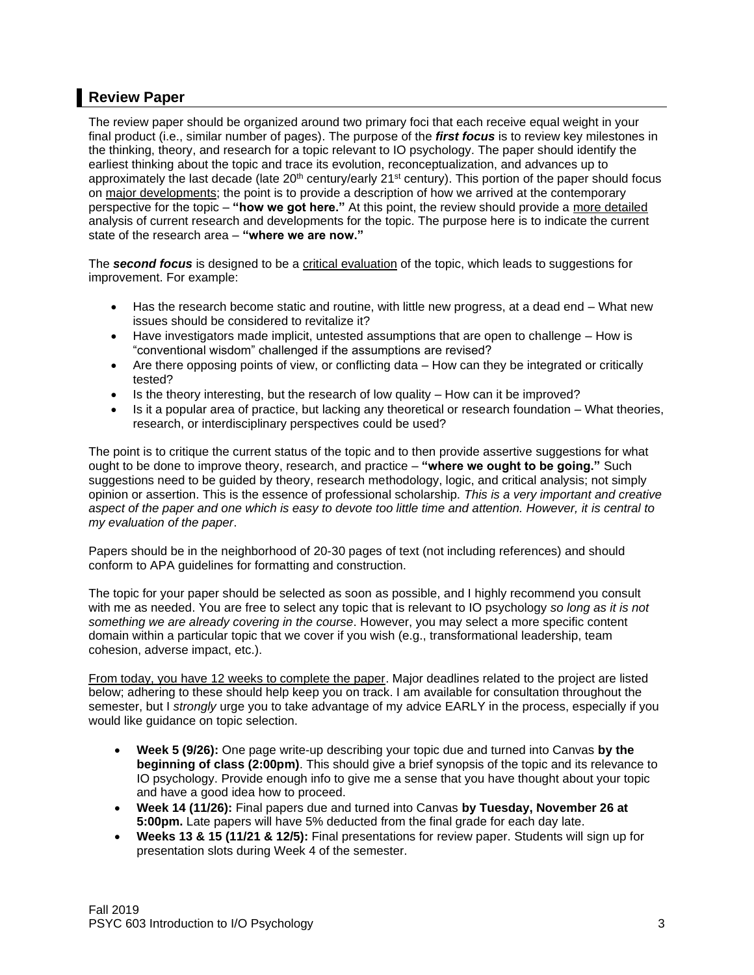## **Review Paper**

The review paper should be organized around two primary foci that each receive equal weight in your final product (i.e., similar number of pages). The purpose of the *first focus* is to review key milestones in the thinking, theory, and research for a topic relevant to IO psychology. The paper should identify the earliest thinking about the topic and trace its evolution, reconceptualization, and advances up to approximately the last decade (late 20<sup>th</sup> century/early 21<sup>st</sup> century). This portion of the paper should focus on major developments; the point is to provide a description of how we arrived at the contemporary perspective for the topic – **"how we got here."** At this point, the review should provide a more detailed analysis of current research and developments for the topic. The purpose here is to indicate the current state of the research area – **"where we are now."**

The *second focus* is designed to be a critical evaluation of the topic, which leads to suggestions for improvement. For example:

- Has the research become static and routine, with little new progress, at a dead end What new issues should be considered to revitalize it?
- Have investigators made implicit, untested assumptions that are open to challenge How is "conventional wisdom" challenged if the assumptions are revised?
- Are there opposing points of view, or conflicting data How can they be integrated or critically tested?
- Is the theory interesting, but the research of low quality How can it be improved?
- Is it a popular area of practice, but lacking any theoretical or research foundation What theories, research, or interdisciplinary perspectives could be used?

The point is to critique the current status of the topic and to then provide assertive suggestions for what ought to be done to improve theory, research, and practice – **"where we ought to be going."** Such suggestions need to be guided by theory, research methodology, logic, and critical analysis; not simply opinion or assertion. This is the essence of professional scholarship. *This is a very important and creative aspect of the paper and one which is easy to devote too little time and attention. However, it is central to my evaluation of the paper*.

Papers should be in the neighborhood of 20-30 pages of text (not including references) and should conform to APA guidelines for formatting and construction.

The topic for your paper should be selected as soon as possible, and I highly recommend you consult with me as needed. You are free to select any topic that is relevant to IO psychology *so long as it is not something we are already covering in the course*. However, you may select a more specific content domain within a particular topic that we cover if you wish (e.g., transformational leadership, team cohesion, adverse impact, etc.).

From today, you have 12 weeks to complete the paper. Major deadlines related to the project are listed below; adhering to these should help keep you on track. I am available for consultation throughout the semester, but I *strongly* urge you to take advantage of my advice EARLY in the process, especially if you would like guidance on topic selection.

- **Week 5 (9/26):** One page write-up describing your topic due and turned into Canvas **by the beginning of class (2:00pm)**. This should give a brief synopsis of the topic and its relevance to IO psychology. Provide enough info to give me a sense that you have thought about your topic and have a good idea how to proceed.
- **Week 14 (11/26):** Final papers due and turned into Canvas **by Tuesday, November 26 at 5:00pm.** Late papers will have 5% deducted from the final grade for each day late.
- **Weeks 13 & 15 (11/21 & 12/5):** Final presentations for review paper. Students will sign up for presentation slots during Week 4 of the semester.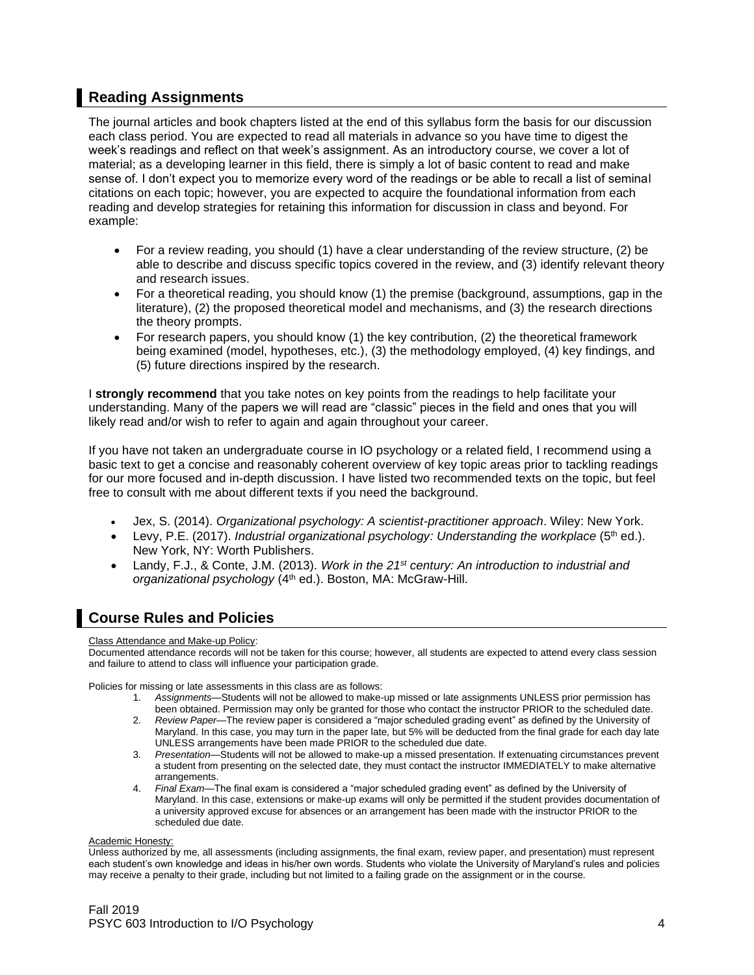## **Reading Assignments**

The journal articles and book chapters listed at the end of this syllabus form the basis for our discussion each class period. You are expected to read all materials in advance so you have time to digest the week's readings and reflect on that week's assignment. As an introductory course, we cover a lot of material; as a developing learner in this field, there is simply a lot of basic content to read and make sense of. I don't expect you to memorize every word of the readings or be able to recall a list of seminal citations on each topic; however, you are expected to acquire the foundational information from each reading and develop strategies for retaining this information for discussion in class and beyond. For example:

- For a review reading, you should (1) have a clear understanding of the review structure, (2) be able to describe and discuss specific topics covered in the review, and (3) identify relevant theory and research issues.
- For a theoretical reading, you should know (1) the premise (background, assumptions, gap in the literature), (2) the proposed theoretical model and mechanisms, and (3) the research directions the theory prompts.
- For research papers, you should know (1) the key contribution, (2) the theoretical framework being examined (model, hypotheses, etc.), (3) the methodology employed, (4) key findings, and (5) future directions inspired by the research.

I **strongly recommend** that you take notes on key points from the readings to help facilitate your understanding. Many of the papers we will read are "classic" pieces in the field and ones that you will likely read and/or wish to refer to again and again throughout your career.

If you have not taken an undergraduate course in IO psychology or a related field, I recommend using a basic text to get a concise and reasonably coherent overview of key topic areas prior to tackling readings for our more focused and in-depth discussion. I have listed two recommended texts on the topic, but feel free to consult with me about different texts if you need the background.

- Jex, S. (2014). *Organizational psychology: A scientist-practitioner approach*. Wiley: New York.
- Levy, P.E. (2017). *Industrial organizational psychology: Understanding the workplace* (5<sup>th</sup> ed.). New York, NY: Worth Publishers.
- Landy, F.J., & Conte, J.M. (2013). *Work in the 21st century: An introduction to industrial and organizational psychology* (4th ed.). Boston, MA: McGraw-Hill.

## **Course Rules and Policies**

#### Class Attendance and Make-up Policy:

Documented attendance records will not be taken for this course; however, all students are expected to attend every class session and failure to attend to class will influence your participation grade.

Policies for missing or late assessments in this class are as follows:

- 1. *Assignments*—Students will not be allowed to make-up missed or late assignments UNLESS prior permission has been obtained. Permission may only be granted for those who contact the instructor PRIOR to the scheduled date.
- 2. *Review Paper*—The review paper is considered a "major scheduled grading event" as defined by the University of Maryland. In this case, you may turn in the paper late, but 5% will be deducted from the final grade for each day late UNLESS arrangements have been made PRIOR to the scheduled due date.
- 3. *Presentation*—Students will not be allowed to make-up a missed presentation. If extenuating circumstances prevent a student from presenting on the selected date, they must contact the instructor IMMEDIATELY to make alternative arrangements
- 4. *Final Exam*—The final exam is considered a "major scheduled grading event" as defined by the University of Maryland. In this case, extensions or make-up exams will only be permitted if the student provides documentation of a university approved excuse for absences or an arrangement has been made with the instructor PRIOR to the scheduled due date.

#### Academic Honesty:

Unless authorized by me, all assessments (including assignments, the final exam, review paper, and presentation) must represent each student's own knowledge and ideas in his/her own words. Students who violate the University of Maryland's rules and policies may receive a penalty to their grade, including but not limited to a failing grade on the assignment or in the course.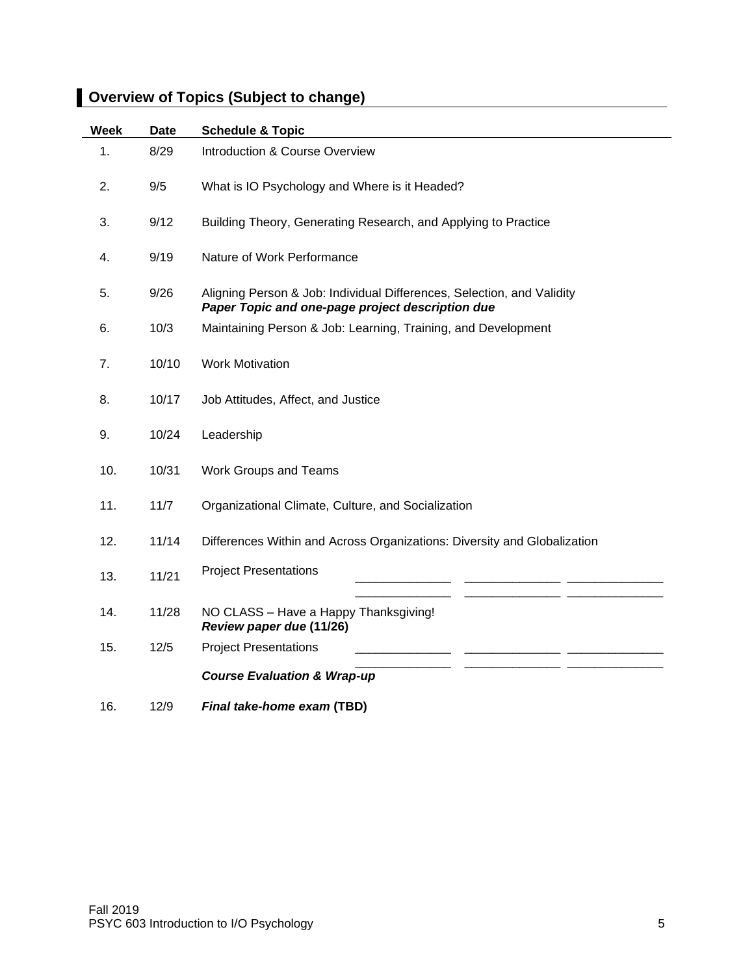| <b>Week</b> | <b>Date</b> | <b>Schedule &amp; Topic</b>                                                                                                |
|-------------|-------------|----------------------------------------------------------------------------------------------------------------------------|
| 1.          | 8/29        | Introduction & Course Overview                                                                                             |
| 2.          | 9/5         | What is IO Psychology and Where is it Headed?                                                                              |
| 3.          | 9/12        | Building Theory, Generating Research, and Applying to Practice                                                             |
| 4.          | 9/19        | Nature of Work Performance                                                                                                 |
| 5.          | 9/26        | Aligning Person & Job: Individual Differences, Selection, and Validity<br>Paper Topic and one-page project description due |
| 6.          | 10/3        | Maintaining Person & Job: Learning, Training, and Development                                                              |
| 7.          | 10/10       | <b>Work Motivation</b>                                                                                                     |
| 8.          | 10/17       | Job Attitudes, Affect, and Justice                                                                                         |
| 9.          | 10/24       | Leadership                                                                                                                 |
| 10.         | 10/31       | Work Groups and Teams                                                                                                      |
| 11.         | 11/7        | Organizational Climate, Culture, and Socialization                                                                         |
| 12.         | 11/14       | Differences Within and Across Organizations: Diversity and Globalization                                                   |
| 13.         | 11/21       | <b>Project Presentations</b>                                                                                               |
| 14.         | 11/28       | NO CLASS - Have a Happy Thanksgiving!<br>Review paper due (11/26)                                                          |
| 15.         | 12/5        | <b>Project Presentations</b>                                                                                               |
|             |             | <b>Course Evaluation &amp; Wrap-up</b>                                                                                     |
| 16.         | 12/9        | Final take-home exam (TBD)                                                                                                 |

# **Overview of Topics (Subject to change)**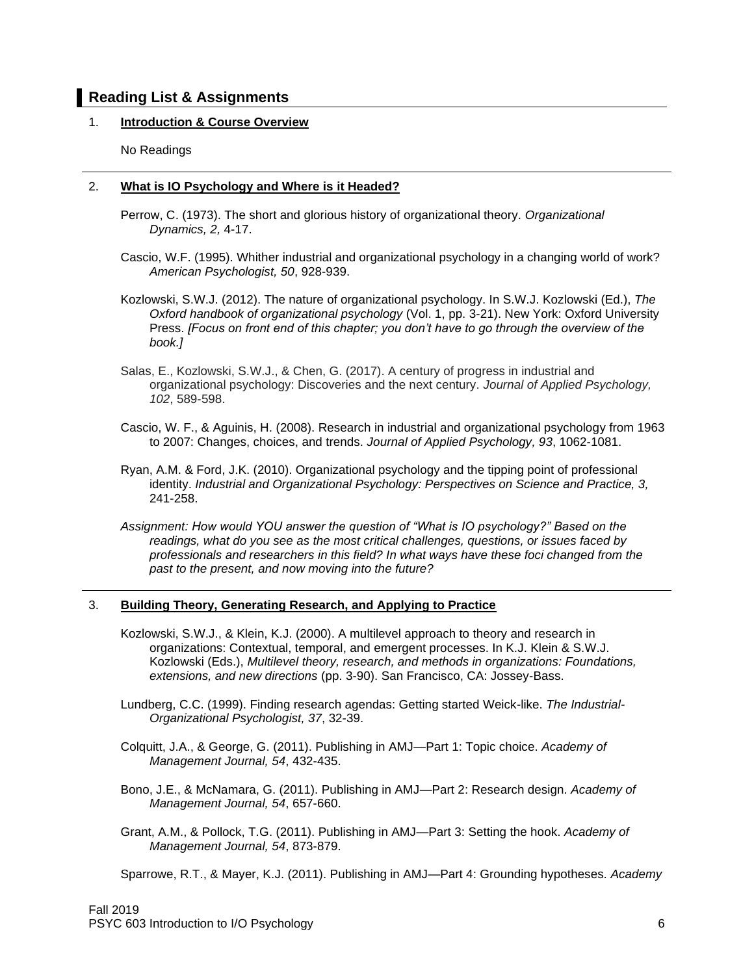## **Reading List & Assignments**

## 1. **Introduction & Course Overview**

No Readings

### 2. **What is IO Psychology and Where is it Headed?**

- Perrow, C. (1973). The short and glorious history of organizational theory. *Organizational Dynamics, 2,* 4-17.
- Cascio, W.F. (1995). Whither industrial and organizational psychology in a changing world of work? *American Psychologist, 50*, 928-939.
- Kozlowski, S.W.J. (2012). The nature of organizational psychology. In S.W.J. Kozlowski (Ed.), *The Oxford handbook of organizational psychology* (Vol. 1, pp. 3-21). New York: Oxford University Press. *[Focus on front end of this chapter; you don't have to go through the overview of the book.]*
- Salas, E., Kozlowski, S.W.J., & Chen, G. (2017). A century of progress in industrial and organizational psychology: Discoveries and the next century. *Journal of Applied Psychology, 102*, 589-598.
- Cascio, W. F., & Aguinis, H. (2008). Research in industrial and organizational psychology from 1963 to 2007: Changes, choices, and trends. *Journal of Applied Psychology, 93*, 1062-1081.
- Ryan, A.M. & Ford, J.K. (2010). Organizational psychology and the tipping point of professional identity. *Industrial and Organizational Psychology: Perspectives on Science and Practice, 3,*  241-258.
- *Assignment: How would YOU answer the question of "What is IO psychology?" Based on the readings, what do you see as the most critical challenges, questions, or issues faced by professionals and researchers in this field? In what ways have these foci changed from the past to the present, and now moving into the future?*

### 3. **Building Theory, Generating Research, and Applying to Practice**

- Kozlowski, S.W.J., & Klein, K.J. (2000). A multilevel approach to theory and research in organizations: Contextual, temporal, and emergent processes. In K.J. Klein & S.W.J. Kozlowski (Eds.), *Multilevel theory, research, and methods in organizations: Foundations, extensions, and new directions* (pp. 3-90). San Francisco, CA: Jossey-Bass.
- Lundberg, C.C. (1999). Finding research agendas: Getting started Weick-like. *The Industrial-Organizational Psychologist, 37*, 32-39.
- Colquitt, J.A., & George, G. (2011). Publishing in AMJ—Part 1: Topic choice. *Academy of Management Journal, 54*, 432-435.
- Bono, J.E., & McNamara, G. (2011). Publishing in AMJ—Part 2: Research design. *Academy of Management Journal, 54*, 657-660.
- Grant, A.M., & Pollock, T.G. (2011). Publishing in AMJ—Part 3: Setting the hook. *Academy of Management Journal, 54*, 873-879.

Sparrowe, R.T., & Mayer, K.J. (2011). Publishing in AMJ—Part 4: Grounding hypotheses. *Academy*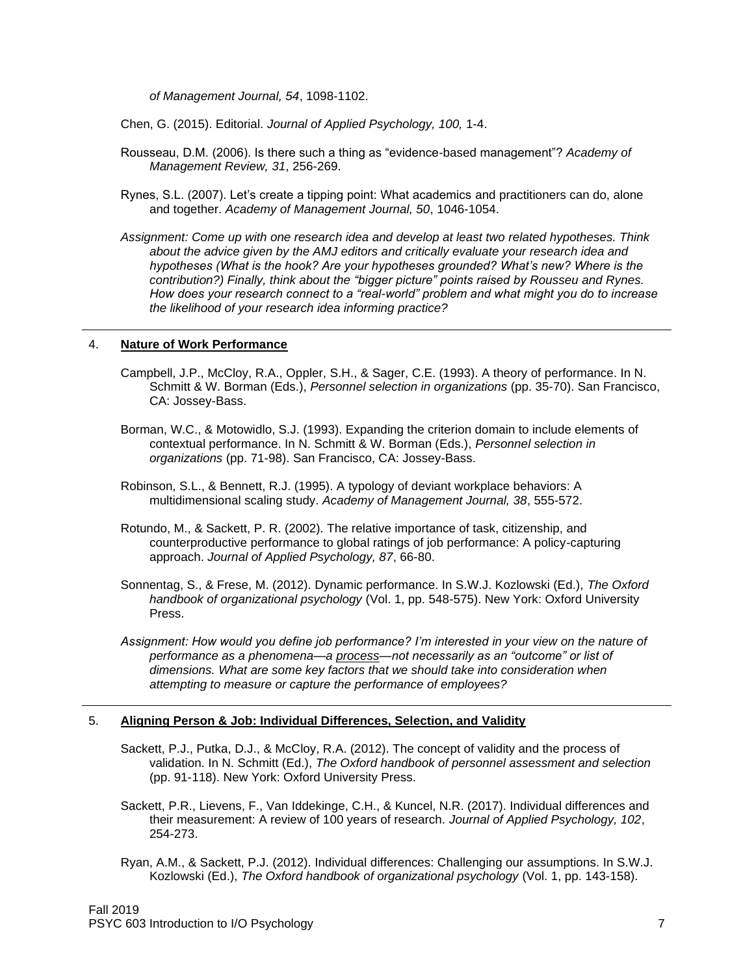*of Management Journal, 54*, 1098-1102.

Chen, G. (2015). Editorial. *Journal of Applied Psychology, 100,* 1-4.

- Rousseau, D.M. (2006). Is there such a thing as "evidence-based management"? *Academy of Management Review, 31*, 256-269.
- Rynes, S.L. (2007). Let's create a tipping point: What academics and practitioners can do, alone and together. *Academy of Management Journal, 50*, 1046-1054.
- *Assignment: Come up with one research idea and develop at least two related hypotheses. Think about the advice given by the AMJ editors and critically evaluate your research idea and hypotheses (What is the hook? Are your hypotheses grounded? What's new? Where is the contribution?) Finally, think about the "bigger picture" points raised by Rousseu and Rynes. How does your research connect to a "real-world" problem and what might you do to increase the likelihood of your research idea informing practice?*

#### 4. **Nature of Work Performance**

- Campbell, J.P., McCloy, R.A., Oppler, S.H., & Sager, C.E. (1993). A theory of performance. In N. Schmitt & W. Borman (Eds.), *Personnel selection in organizations* (pp. 35-70). San Francisco, CA: Jossey-Bass.
- Borman, W.C., & Motowidlo, S.J. (1993). Expanding the criterion domain to include elements of contextual performance. In N. Schmitt & W. Borman (Eds.), *Personnel selection in organizations* (pp. 71-98). San Francisco, CA: Jossey-Bass.
- Robinson, S.L., & Bennett, R.J. (1995). A typology of deviant workplace behaviors: A multidimensional scaling study. *Academy of Management Journal, 38*, 555-572.
- Rotundo, M., & Sackett, P. R. (2002). The relative importance of task, citizenship, and counterproductive performance to global ratings of job performance: A policy-capturing approach. *Journal of Applied Psychology, 87*, 66-80.
- Sonnentag, S., & Frese, M. (2012). Dynamic performance. In S.W.J. Kozlowski (Ed.), *The Oxford handbook of organizational psychology* (Vol. 1, pp. 548-575). New York: Oxford University Press.
- *Assignment: How would you define job performance? I'm interested in your view on the nature of performance as a phenomena—a process—not necessarily as an "outcome" or list of dimensions. What are some key factors that we should take into consideration when attempting to measure or capture the performance of employees?*

#### 5. **Aligning Person & Job: Individual Differences, Selection, and Validity**

- Sackett, P.J., Putka, D.J., & McCloy, R.A. (2012). The concept of validity and the process of validation. In N. Schmitt (Ed.), *The Oxford handbook of personnel assessment and selection* (pp. 91-118). New York: Oxford University Press.
- Sackett, P.R., Lievens, F., Van Iddekinge, C.H., & Kuncel, N.R. (2017). Individual differences and their measurement: A review of 100 years of research. *Journal of Applied Psychology, 102*, 254-273.
- Ryan, A.M., & Sackett, P.J. (2012). Individual differences: Challenging our assumptions. In S.W.J. Kozlowski (Ed.), *The Oxford handbook of organizational psychology* (Vol. 1, pp. 143-158).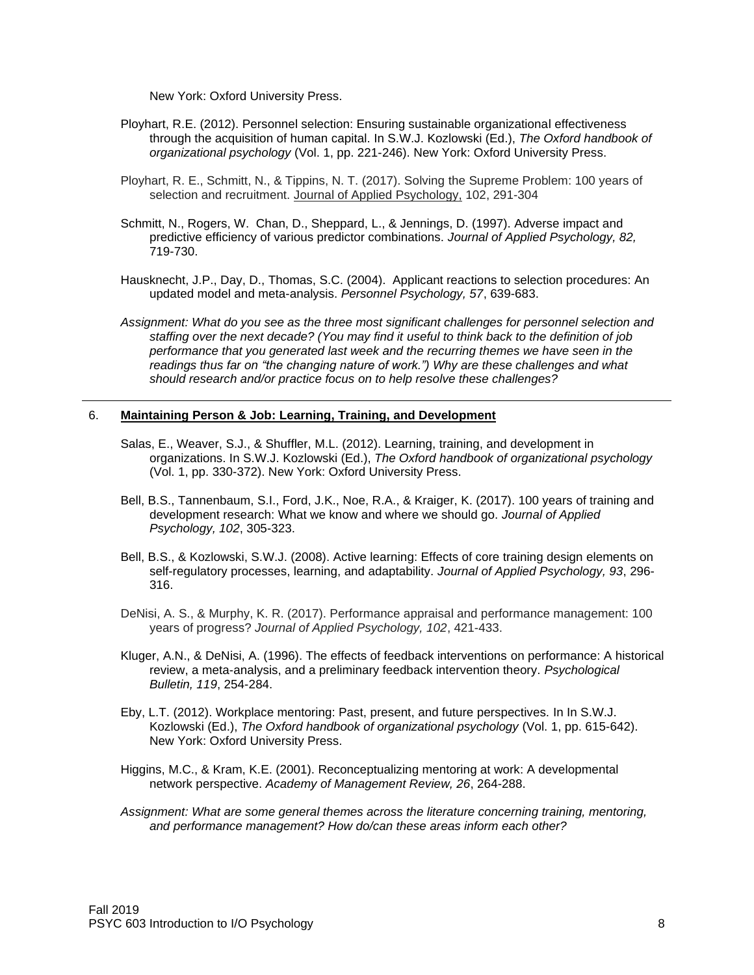New York: Oxford University Press.

- Ployhart, R.E. (2012). Personnel selection: Ensuring sustainable organizational effectiveness through the acquisition of human capital. In S.W.J. Kozlowski (Ed.), *The Oxford handbook of organizational psychology* (Vol. 1, pp. 221-246). New York: Oxford University Press.
- Ployhart, R. E., Schmitt, N., & Tippins, N. T. (2017). Solving the Supreme Problem: 100 years of selection and recruitment. Journal of Applied Psychology, 102, 291-304
- Schmitt, N., Rogers, W. Chan, D., Sheppard, L., & Jennings, D. (1997). Adverse impact and predictive efficiency of various predictor combinations. *Journal of Applied Psychology, 82,* 719-730.
- Hausknecht, J.P., Day, D., Thomas, S.C. (2004). Applicant reactions to selection procedures: An updated model and meta-analysis. *Personnel Psychology, 57*, 639-683.
- *Assignment: What do you see as the three most significant challenges for personnel selection and staffing over the next decade? (You may find it useful to think back to the definition of job performance that you generated last week and the recurring themes we have seen in the readings thus far on "the changing nature of work.") Why are these challenges and what should research and/or practice focus on to help resolve these challenges?*

#### 6. **Maintaining Person & Job: Learning, Training, and Development**

- Salas, E., Weaver, S.J., & Shuffler, M.L. (2012). Learning, training, and development in organizations. In S.W.J. Kozlowski (Ed.), *The Oxford handbook of organizational psychology*  (Vol. 1, pp. 330-372). New York: Oxford University Press.
- Bell, B.S., Tannenbaum, S.I., Ford, J.K., Noe, R.A., & Kraiger, K. (2017). 100 years of training and development research: What we know and where we should go. *Journal of Applied Psychology, 102*, 305-323.
- Bell, B.S., & Kozlowski, S.W.J. (2008). Active learning: Effects of core training design elements on self-regulatory processes, learning, and adaptability. *Journal of Applied Psychology, 93*, 296- 316.
- DeNisi, A. S., & Murphy, K. R. (2017). Performance appraisal and performance management: 100 years of progress? *Journal of Applied Psychology, 102*, 421-433.
- Kluger, A.N., & DeNisi, A. (1996). The effects of feedback interventions on performance: A historical review, a meta-analysis, and a preliminary feedback intervention theory. *Psychological Bulletin, 119*, 254-284.
- Eby, L.T. (2012). Workplace mentoring: Past, present, and future perspectives. In In S.W.J. Kozlowski (Ed.), *The Oxford handbook of organizational psychology* (Vol. 1, pp. 615-642). New York: Oxford University Press.
- Higgins, M.C., & Kram, K.E. (2001). Reconceptualizing mentoring at work: A developmental network perspective. *Academy of Management Review, 26*, 264-288.
- *Assignment: What are some general themes across the literature concerning training, mentoring, and performance management? How do/can these areas inform each other?*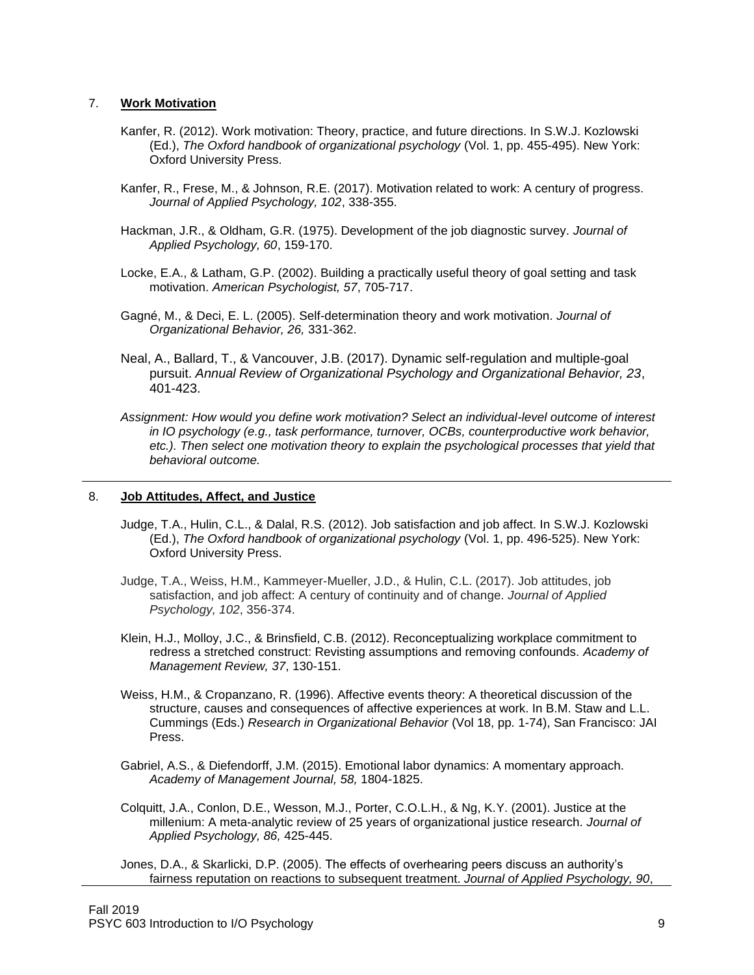#### 7. **Work Motivation**

- Kanfer, R. (2012). Work motivation: Theory, practice, and future directions. In S.W.J. Kozlowski (Ed.), *The Oxford handbook of organizational psychology* (Vol. 1, pp. 455-495). New York: Oxford University Press.
- Kanfer, R., Frese, M., & Johnson, R.E. (2017). Motivation related to work: A century of progress. *Journal of Applied Psychology, 102*, 338-355.
- Hackman, J.R., & Oldham, G.R. (1975). Development of the job diagnostic survey. *Journal of Applied Psychology, 60*, 159-170.
- Locke, E.A., & Latham, G.P. (2002). Building a practically useful theory of goal setting and task motivation. *American Psychologist, 57*, 705-717.
- Gagné, M., & Deci, E. L. (2005). Self-determination theory and work motivation. *Journal of Organizational Behavior, 26,* 331-362.
- Neal, A., Ballard, T., & Vancouver, J.B. (2017). Dynamic self-regulation and multiple-goal pursuit. *Annual Review of Organizational Psychology and Organizational Behavior, 23*, 401-423.
- *Assignment: How would you define work motivation? Select an individual-level outcome of interest in IO psychology (e.g., task performance, turnover, OCBs, counterproductive work behavior,*  etc.). Then select one motivation theory to explain the psychological processes that yield that *behavioral outcome.*

#### 8. **Job Attitudes, Affect, and Justice**

- Judge, T.A., Hulin, C.L., & Dalal, R.S. (2012). Job satisfaction and job affect. In S.W.J. Kozlowski (Ed.), *The Oxford handbook of organizational psychology* (Vol. 1, pp. 496-525). New York: Oxford University Press.
- Judge, T.A., Weiss, H.M., Kammeyer-Mueller, J.D., & Hulin, C.L. (2017). Job attitudes, job satisfaction, and job affect: A century of continuity and of change. *Journal of Applied Psychology, 102*, 356-374.
- Klein, H.J., Molloy, J.C., & Brinsfield, C.B. (2012). Reconceptualizing workplace commitment to redress a stretched construct: Revisting assumptions and removing confounds. *Academy of Management Review, 37*, 130-151.
- Weiss, H.M., & Cropanzano, R. (1996). Affective events theory: A theoretical discussion of the structure, causes and consequences of affective experiences at work. In B.M. Staw and L.L. Cummings (Eds.) *Research in Organizational Behavior* (Vol 18, pp. 1-74), San Francisco: JAI Press.
- Gabriel, A.S., & Diefendorff, J.M. (2015). Emotional labor dynamics: A momentary approach. *Academy of Management Journal, 58,* 1804-1825.
- Colquitt, J.A., Conlon, D.E., Wesson, M.J., Porter, C.O.L.H., & Ng, K.Y. (2001). Justice at the millenium: A meta-analytic review of 25 years of organizational justice research. *Journal of Applied Psychology, 86,* 425-445.
- Jones, D.A., & Skarlicki, D.P. (2005). The effects of overhearing peers discuss an authority's fairness reputation on reactions to subsequent treatment. *Journal of Applied Psychology, 90*,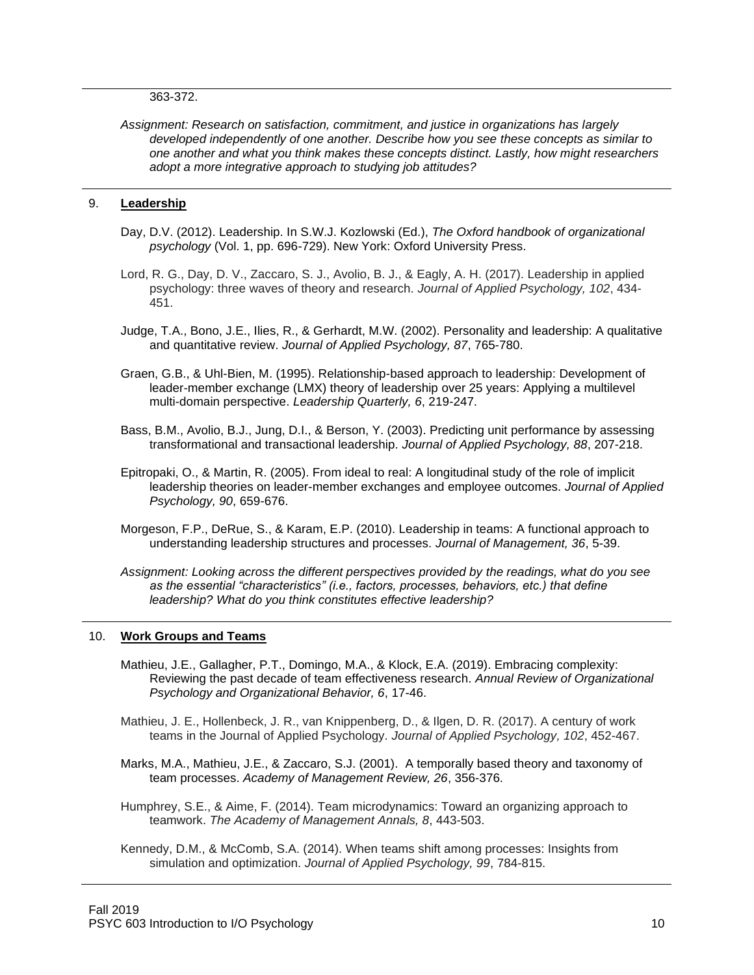#### 363-372.

*Assignment: Research on satisfaction, commitment, and justice in organizations has largely developed independently of one another. Describe how you see these concepts as similar to one another and what you think makes these concepts distinct. Lastly, how might researchers adopt a more integrative approach to studying job attitudes?*

#### 9. **Leadership**

- Day, D.V. (2012). Leadership. In S.W.J. Kozlowski (Ed.), *The Oxford handbook of organizational psychology* (Vol. 1, pp. 696-729). New York: Oxford University Press.
- Lord, R. G., Day, D. V., Zaccaro, S. J., Avolio, B. J., & Eagly, A. H. (2017). Leadership in applied psychology: three waves of theory and research. *Journal of Applied Psychology, 102*, 434- 451.
- Judge, T.A., Bono, J.E., Ilies, R., & Gerhardt, M.W. (2002). Personality and leadership: A qualitative and quantitative review. *Journal of Applied Psychology, 87*, 765-780.
- Graen, G.B., & Uhl-Bien, M. (1995). Relationship-based approach to leadership: Development of leader-member exchange (LMX) theory of leadership over 25 years: Applying a multilevel multi-domain perspective. *Leadership Quarterly, 6*, 219-247.
- Bass, B.M., Avolio, B.J., Jung, D.I., & Berson, Y. (2003). Predicting unit performance by assessing transformational and transactional leadership. *Journal of Applied Psychology, 88*, 207-218.
- Epitropaki, O., & Martin, R. (2005). From ideal to real: A longitudinal study of the role of implicit leadership theories on leader-member exchanges and employee outcomes. *Journal of Applied Psychology, 90*, 659-676.
- Morgeson, F.P., DeRue, S., & Karam, E.P. (2010). Leadership in teams: A functional approach to understanding leadership structures and processes. *Journal of Management, 36*, 5-39.

*Assignment: Looking across the different perspectives provided by the readings, what do you see as the essential "characteristics" (i.e., factors, processes, behaviors, etc.) that define leadership? What do you think constitutes effective leadership?*

#### 10. **Work Groups and Teams**

- Mathieu, J.E., Gallagher, P.T., Domingo, M.A., & Klock, E.A. (2019). Embracing complexity: Reviewing the past decade of team effectiveness research. *Annual Review of Organizational Psychology and Organizational Behavior, 6*, 17-46.
- Mathieu, J. E., Hollenbeck, J. R., van Knippenberg, D., & Ilgen, D. R. (2017). A century of work teams in the Journal of Applied Psychology. *Journal of Applied Psychology, 102*, 452-467.
- Marks, M.A., Mathieu, J.E., & Zaccaro, S.J. (2001). A temporally based theory and taxonomy of team processes. *Academy of Management Review, 26*, 356-376.
- Humphrey, S.E., & Aime, F. (2014). Team microdynamics: Toward an organizing approach to teamwork. *The Academy of Management Annals, 8*, 443-503.
- Kennedy, D.M., & McComb, S.A. (2014). When teams shift among processes: Insights from simulation and optimization. *Journal of Applied Psychology, 99*, 784-815.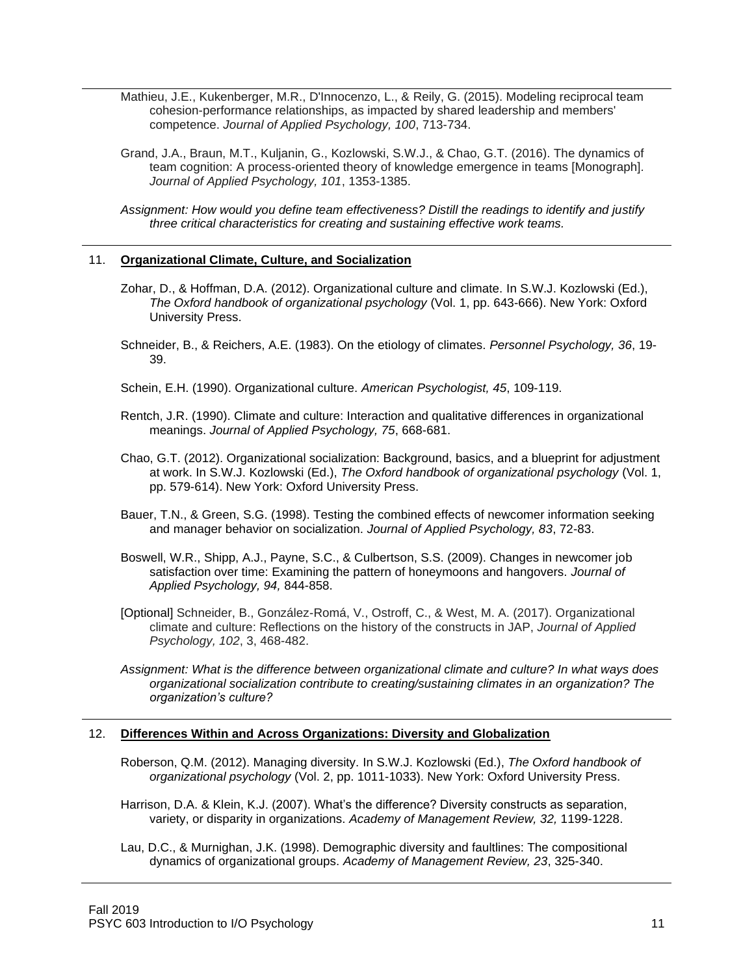Mathieu, J.E., Kukenberger, M.R., D'Innocenzo, L., & Reily, G. (2015). Modeling reciprocal team cohesion-performance relationships, as impacted by shared leadership and members' competence. *Journal of Applied Psychology, 100*, 713-734.

- Grand, J.A., Braun, M.T., Kuljanin, G., Kozlowski, S.W.J., & Chao, G.T. (2016). The dynamics of team cognition: A process-oriented theory of knowledge emergence in teams [Monograph]*. Journal of Applied Psychology, 101*, 1353-1385.
- *Assignment: How would you define team effectiveness? Distill the readings to identify and justify three critical characteristics for creating and sustaining effective work teams.*

#### 11. **Organizational Climate, Culture, and Socialization**

- Zohar, D., & Hoffman, D.A. (2012). Organizational culture and climate. In S.W.J. Kozlowski (Ed.), *The Oxford handbook of organizational psychology* (Vol. 1, pp. 643-666). New York: Oxford University Press.
- Schneider, B., & Reichers, A.E. (1983). On the etiology of climates. *Personnel Psychology, 36*, 19- 39.
- Schein, E.H. (1990). Organizational culture. *American Psychologist, 45*, 109-119.
- Rentch, J.R. (1990). Climate and culture: Interaction and qualitative differences in organizational meanings. *Journal of Applied Psychology, 75*, 668-681.
- Chao, G.T. (2012). Organizational socialization: Background, basics, and a blueprint for adjustment at work. In S.W.J. Kozlowski (Ed.), *The Oxford handbook of organizational psychology* (Vol. 1, pp. 579-614). New York: Oxford University Press.
- Bauer, T.N., & Green, S.G. (1998). Testing the combined effects of newcomer information seeking and manager behavior on socialization. *Journal of Applied Psychology, 83*, 72-83.
- Boswell, W.R., Shipp, A.J., Payne, S.C., & Culbertson, S.S. (2009). Changes in newcomer job satisfaction over time: Examining the pattern of honeymoons and hangovers. *Journal of Applied Psychology, 94,* 844-858.
- [Optional] Schneider, B., González-Romá, V., Ostroff, C., & West, M. A. (2017). Organizational climate and culture: Reflections on the history of the constructs in JAP, *Journal of Applied Psychology, 102*, 3, 468-482.
- *Assignment: What is the difference between organizational climate and culture? In what ways does organizational socialization contribute to creating/sustaining climates in an organization? The organization's culture?*

### 12. **Differences Within and Across Organizations: Diversity and Globalization**

Roberson, Q.M. (2012). Managing diversity. In S.W.J. Kozlowski (Ed.), *The Oxford handbook of organizational psychology* (Vol. 2, pp. 1011-1033). New York: Oxford University Press.

- Harrison, D.A. & Klein, K.J. (2007). What's the difference? Diversity constructs as separation, variety, or disparity in organizations. *Academy of Management Review, 32,* 1199-1228.
- Lau, D.C., & Murnighan, J.K. (1998). Demographic diversity and faultlines: The compositional dynamics of organizational groups. *Academy of Management Review, 23*, 325-340.